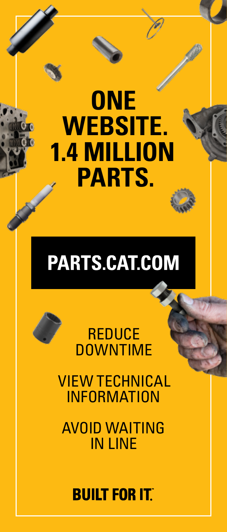# **ONE WEBSITE. 1.4 MILLION PARTS.**

## PARTS.CAT.COM

### **REDUCE DOWNTIME**

VIEW TECHNICAL INFORMATION

AVOID WAITING IN LINE

## **BUILT FOR ITT**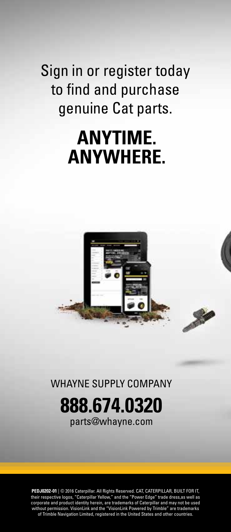Sign in or register today to find and purchase genuine Cat parts.

## **ANYTIME. ANYWHERE.**



WHAYNE SUPPLY COMPANY

**888.674.0320** parts@whayne.com

**PEDJ0202-01** | © 2016 Caterpillar. All Rights Reserved. CAT, CATERPILLAR, BUILT FOR IT, their respective logos, "Caterpillar Yellow," and the "Power Edge" trade dress,as well as corporate and product identity herein, are trademarks of Caterpillar and may not be used without permission. VisionLink and the "VisionLink Powered by Trimble" are trademarks of Trimble Navigation Limited, registered in the United States and other countries.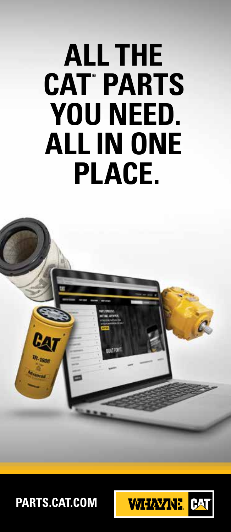# **ALL THE CAT ® PARTS YOU NEED. ALL IN ONE PLACE.**



**PARTS.CAT.COM**

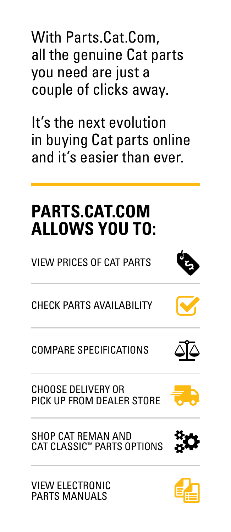With Parts.Cat.Com, all the genuine Cat parts you need are just a couple of clicks away.

It's the next evolution in buying Cat parts online and it's easier than ever.

## **PARTS.CAT.COM ALLOWS YOU TO:**

VIEW PRICES OF CAT PARTS



COMPARE SPECIFICATIONS

CHOOSE DELIVERY OR PICK UP FROM DEALER STORE

SHOP CAT REMAN AND CAT CLASSIC™ PARTS OPTIONS

VIEW ELECTRONIC PARTS MANUALS







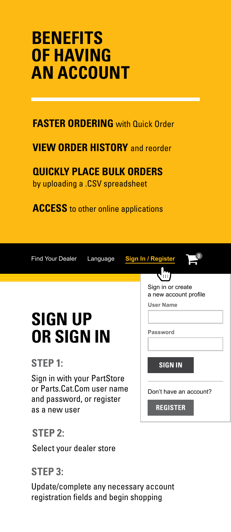## **BENEFITS OF HAVING AN ACCOUNT**

#### **FASTER ORDERING** with Quick Order

#### **VIEW ORDER HISTORY** and reorder

**QUICKLY PLACE BULK ORDERS** by uploading a .CSV spreadsheet

**ACCESS** to other online applications

**<sup>0</sup>** Find Your Dealer Language **Sign In / Register**



Sign in or create a new account profile

**User Name**

**Password**

**SIGN IN**

Don't have an account?

**REGISTER**

## Sign in with your PartStore

**SIGN UP** 

**OR SIGN IN**

or Parts.Cat.Com user name and password, or register as a new user

#### **STEP 2:**

**STEP 1:**

Select your dealer store

#### **STEP 3:**

Update/complete any necessary account registration fields and begin shopping